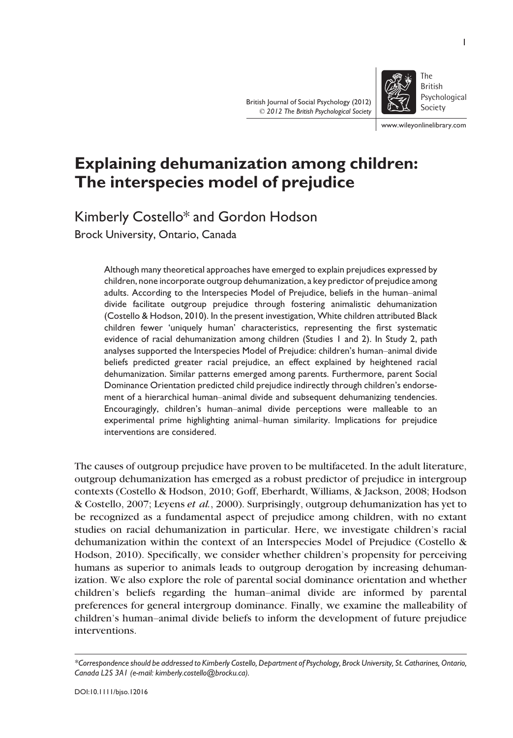British Journal of Social Psychology (2012) © 2012 The British Psychological Society



The British Psychological Society

Society www.wileyonlinelibrary.com

# Explaining dehumanization among children: The interspecies model of prejudice

Kimberly Costello\* and Gordon Hodson Brock University, Ontario, Canada

> Although many theoretical approaches have emerged to explain prejudices expressed by children, none incorporate outgroup dehumanization, a key predictor of prejudice among adults. According to the Interspecies Model of Prejudice, beliefs in the human–animal divide facilitate outgroup prejudice through fostering animalistic dehumanization (Costello & Hodson, 2010). In the present investigation, White children attributed Black children fewer 'uniquely human' characteristics, representing the first systematic evidence of racial dehumanization among children (Studies 1 and 2). In Study 2, path analyses supported the Interspecies Model of Prejudice: children's human–animal divide beliefs predicted greater racial prejudice, an effect explained by heightened racial dehumanization. Similar patterns emerged among parents. Furthermore, parent Social Dominance Orientation predicted child prejudice indirectly through children's endorsement of a hierarchical human–animal divide and subsequent dehumanizing tendencies. Encouragingly, children's human–animal divide perceptions were malleable to an experimental prime highlighting animal–human similarity. Implications for prejudice interventions are considered.

The causes of outgroup prejudice have proven to be multifaceted. In the adult literature, outgroup dehumanization has emerged as a robust predictor of prejudice in intergroup contexts (Costello & Hodson, 2010; Goff, Eberhardt, Williams, & Jackson, 2008; Hodson & Costello, 2007; Leyens et al., 2000). Surprisingly, outgroup dehumanization has yet to be recognized as a fundamental aspect of prejudice among children, with no extant studies on racial dehumanization in particular. Here, we investigate children's racial dehumanization within the context of an Interspecies Model of Prejudice (Costello & Hodson, 2010). Specifically, we consider whether children's propensity for perceiving humans as superior to animals leads to outgroup derogation by increasing dehumanization. We also explore the role of parental social dominance orientation and whether children's beliefs regarding the human–animal divide are informed by parental preferences for general intergroup dominance. Finally, we examine the malleability of children's human–animal divide beliefs to inform the development of future prejudice interventions.

<sup>\*</sup>Correspondence should be addressed to Kimberly Costello, Department of Psychology, Brock University, St. Catharines, Ontario, Canada L2S 3A1 (e-mail: kimberly.costello@brocku.ca).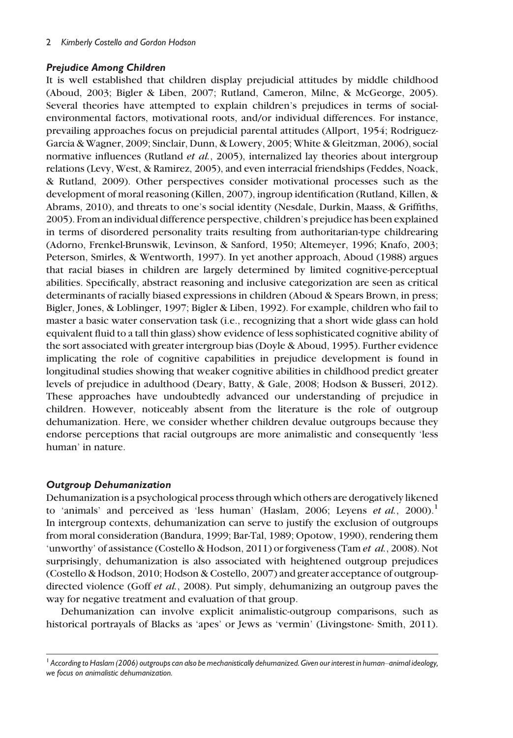## Prejudice Among Children

It is well established that children display prejudicial attitudes by middle childhood (Aboud, 2003; Bigler & Liben, 2007; Rutland, Cameron, Milne, & McGeorge, 2005). Several theories have attempted to explain children's prejudices in terms of socialenvironmental factors, motivational roots, and/or individual differences. For instance, prevailing approaches focus on prejudicial parental attitudes (Allport, 1954; Rodriguez-Garcia & Wagner, 2009; Sinclair, Dunn, & Lowery, 2005; White & Gleitzman, 2006), social normative influences (Rutland *et al.*, 2005), internalized lay theories about intergroup relations (Levy, West, & Ramirez, 2005), and even interracial friendships (Feddes, Noack, & Rutland, 2009). Other perspectives consider motivational processes such as the development of moral reasoning (Killen, 2007), ingroup identification (Rutland, Killen, & Abrams, 2010), and threats to one's social identity (Nesdale, Durkin, Maass, & Griffiths, 2005). From an individual difference perspective, children's prejudice has been explained in terms of disordered personality traits resulting from authoritarian-type childrearing (Adorno, Frenkel-Brunswik, Levinson, & Sanford, 1950; Altemeyer, 1996; Knafo, 2003; Peterson, Smirles, & Wentworth, 1997). In yet another approach, Aboud (1988) argues that racial biases in children are largely determined by limited cognitive-perceptual abilities. Specifically, abstract reasoning and inclusive categorization are seen as critical determinants of racially biased expressions in children (Aboud & Spears Brown, in press; Bigler, Jones, & Loblinger, 1997; Bigler & Liben, 1992). For example, children who fail to master a basic water conservation task (i.e., recognizing that a short wide glass can hold equivalent fluid to a tall thin glass) show evidence of less sophisticated cognitive ability of the sort associated with greater intergroup bias (Doyle & Aboud, 1995). Further evidence implicating the role of cognitive capabilities in prejudice development is found in longitudinal studies showing that weaker cognitive abilities in childhood predict greater levels of prejudice in adulthood (Deary, Batty, & Gale, 2008; Hodson & Busseri, 2012). These approaches have undoubtedly advanced our understanding of prejudice in children. However, noticeably absent from the literature is the role of outgroup dehumanization. Here, we consider whether children devalue outgroups because they endorse perceptions that racial outgroups are more animalistic and consequently 'less human' in nature.

## Outgroup Dehumanization

Dehumanization is a psychological process through which others are derogatively likened to 'animals' and perceived as 'less human' (Haslam, 2006; Leyens *et al.*, 2000).<sup>1</sup> In intergroup contexts, dehumanization can serve to justify the exclusion of outgroups from moral consideration (Bandura, 1999; Bar-Tal, 1989; Opotow, 1990), rendering them 'unworthy' of assistance (Costello & Hodson, 2011) or forgiveness (Tam et al., 2008). Not surprisingly, dehumanization is also associated with heightened outgroup prejudices (Costello & Hodson, 2010; Hodson & Costello, 2007) and greater acceptance of outgroupdirected violence (Goff et al., 2008). Put simply, dehumanizing an outgroup paves the way for negative treatment and evaluation of that group.

Dehumanization can involve explicit animalistic-outgroup comparisons, such as historical portrayals of Blacks as 'apes' or Jews as 'vermin' (Livingstone- Smith, 2011).

<sup>&</sup>lt;sup>1</sup> According to Haslam (2006) outgroups can also be mechanistically dehumanized. Given our interest in human–animal ideology, we focus on animalistic dehumanization.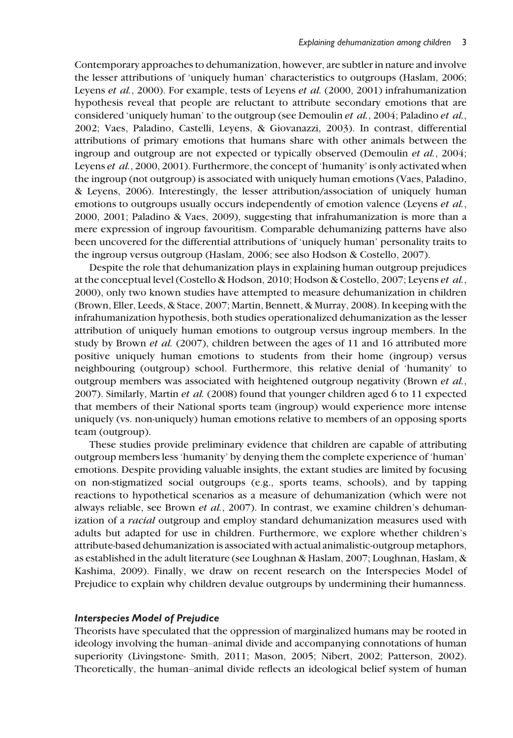Contemporary approaches to dehumanization, however, are subtler in nature and involve the lesser attributions of 'uniquely human' characteristics to outgroups (Haslam, 2006; Leyens et al., 2000). For example, tests of Leyens et al. (2000, 2001) infrahumanization hypothesis reveal that people are reluctant to attribute secondary emotions that are considered 'uniquely human' to the outgroup (see Demoulin *et al.*, 2004; Paladino *et al.*, 2002; Vaes, Paladino, Castelli, Leyens, & Giovanazzi, 2003). In contrast, differential attributions of primary emotions that humans share with other animals between the ingroup and outgroup are not expected or typically observed (Demoulin *et al.*, 2004; Leyens et al., 2000, 2001). Furthermore, the concept of 'humanity' is only activated when the ingroup (not outgroup) is associated with uniquely human emotions (Vaes, Paladino, & Leyens, 2006). Interestingly, the lesser attribution/association of uniquely human emotions to outgroups usually occurs independently of emotion valence (Leyens et al., 2000, 2001; Paladino & Vaes, 2009), suggesting that infrahumanization is more than a mere expression of ingroup favouritism. Comparable dehumanizing patterns have also been uncovered for the differential attributions of 'uniquely human' personality traits to the ingroup versus outgroup (Haslam, 2006; see also Hodson & Costello, 2007).

Despite the role that dehumanization plays in explaining human outgroup prejudices at the conceptual level (Costello & Hodson, 2010; Hodson & Costello, 2007; Leyens et al., 2000), only two known studies have attempted to measure dehumanization in children (Brown, Eller, Leeds, & Stace, 2007; Martin, Bennett, & Murray, 2008). In keeping with the infrahumanization hypothesis, both studies operationalized dehumanization as the lesser attribution of uniquely human emotions to outgroup versus ingroup members. In the study by Brown et al. (2007), children between the ages of 11 and 16 attributed more positive uniquely human emotions to students from their home (ingroup) versus neighbouring (outgroup) school. Furthermore, this relative denial of 'humanity' to outgroup members was associated with heightened outgroup negativity (Brown et al., 2007). Similarly, Martin et al. (2008) found that younger children aged 6 to 11 expected that members of their National sports team (ingroup) would experience more intense uniquely (vs. non-uniquely) human emotions relative to members of an opposing sports team (outgroup).

These studies provide preliminary evidence that children are capable of attributing outgroup members less 'humanity' by denying them the complete experience of 'human' emotions. Despite providing valuable insights, the extant studies are limited by focusing on non-stigmatized social outgroups (e.g., sports teams, schools), and by tapping reactions to hypothetical scenarios as a measure of dehumanization (which were not always reliable, see Brown et al., 2007). In contrast, we examine children's dehumanization of a *racial* outgroup and employ standard dehumanization measures used with adults but adapted for use in children. Furthermore, we explore whether children's attribute-based dehumanization is associated with actual animalistic-outgroup metaphors, as established in the adult literature (see Loughnan & Haslam, 2007; Loughnan, Haslam, & Kashima, 2009). Finally, we draw on recent research on the Interspecies Model of Prejudice to explain why children devalue outgroups by undermining their humanness.

#### Interspecies Model of Prejudice

Theorists have speculated that the oppression of marginalized humans may be rooted in ideology involving the human–animal divide and accompanying connotations of human superiority (Livingstone- Smith, 2011; Mason, 2005; Nibert, 2002; Patterson, 2002). Theoretically, the human–animal divide reflects an ideological belief system of human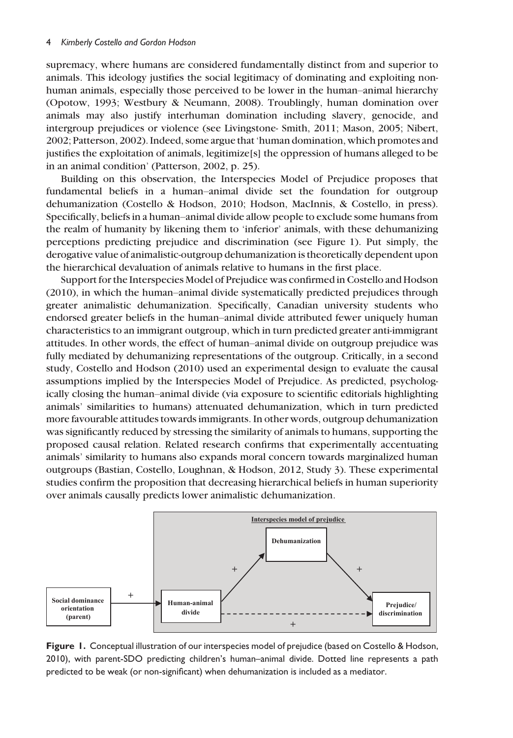supremacy, where humans are considered fundamentally distinct from and superior to animals. This ideology justifies the social legitimacy of dominating and exploiting nonhuman animals, especially those perceived to be lower in the human–animal hierarchy (Opotow, 1993; Westbury & Neumann, 2008). Troublingly, human domination over animals may also justify interhuman domination including slavery, genocide, and intergroup prejudices or violence (see Livingstone- Smith, 2011; Mason, 2005; Nibert, 2002; Patterson, 2002). Indeed, some argue that 'human domination, which promotes and justifies the exploitation of animals, legitimize[s] the oppression of humans alleged to be in an animal condition' (Patterson, 2002, p. 25).

Building on this observation, the Interspecies Model of Prejudice proposes that fundamental beliefs in a human–animal divide set the foundation for outgroup dehumanization (Costello & Hodson, 2010; Hodson, MacInnis, & Costello, in press). Specifically, beliefs in a human–animal divide allow people to exclude some humans from the realm of humanity by likening them to 'inferior' animals, with these dehumanizing perceptions predicting prejudice and discrimination (see Figure 1). Put simply, the derogative value of animalistic-outgroup dehumanization is theoretically dependent upon the hierarchical devaluation of animals relative to humans in the first place.

Support for the Interspecies Model of Prejudice was confirmed in Costello and Hodson (2010), in which the human–animal divide systematically predicted prejudices through greater animalistic dehumanization. Specifically, Canadian university students who endorsed greater beliefs in the human–animal divide attributed fewer uniquely human characteristics to an immigrant outgroup, which in turn predicted greater anti-immigrant attitudes. In other words, the effect of human–animal divide on outgroup prejudice was fully mediated by dehumanizing representations of the outgroup. Critically, in a second study, Costello and Hodson (2010) used an experimental design to evaluate the causal assumptions implied by the Interspecies Model of Prejudice. As predicted, psychologically closing the human–animal divide (via exposure to scientific editorials highlighting animals' similarities to humans) attenuated dehumanization, which in turn predicted more favourable attitudes towards immigrants. In other words, outgroup dehumanization was significantly reduced by stressing the similarity of animals to humans, supporting the proposed causal relation. Related research confirms that experimentally accentuating animals' similarity to humans also expands moral concern towards marginalized human outgroups (Bastian, Costello, Loughnan, & Hodson, 2012, Study 3). These experimental studies confirm the proposition that decreasing hierarchical beliefs in human superiority over animals causally predicts lower animalistic dehumanization.



Figure 1. Conceptual illustration of our interspecies model of prejudice (based on Costello & Hodson, 2010), with parent-SDO predicting children's human–animal divide. Dotted line represents a path predicted to be weak (or non-significant) when dehumanization is included as a mediator.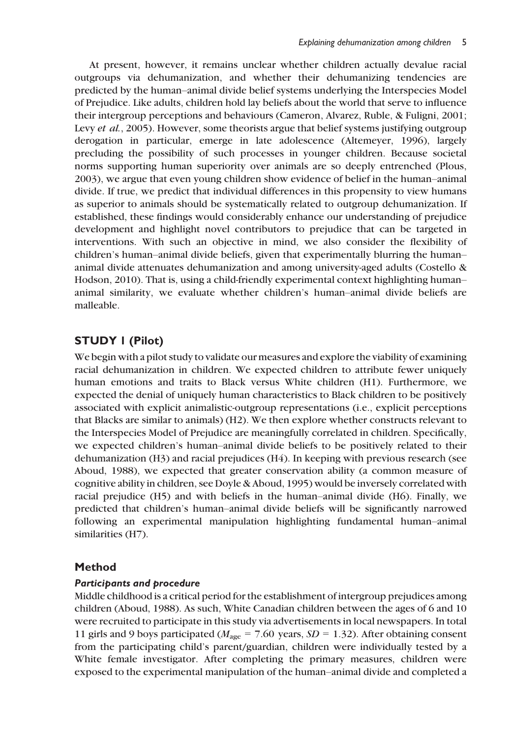At present, however, it remains unclear whether children actually devalue racial outgroups via dehumanization, and whether their dehumanizing tendencies are predicted by the human–animal divide belief systems underlying the Interspecies Model of Prejudice. Like adults, children hold lay beliefs about the world that serve to influence their intergroup perceptions and behaviours (Cameron, Alvarez, Ruble, & Fuligni, 2001; Levy et al., 2005). However, some theorists argue that belief systems justifying outgroup derogation in particular, emerge in late adolescence (Altemeyer, 1996), largely precluding the possibility of such processes in younger children. Because societal norms supporting human superiority over animals are so deeply entrenched (Plous, 2003), we argue that even young children show evidence of belief in the human–animal divide. If true, we predict that individual differences in this propensity to view humans as superior to animals should be systematically related to outgroup dehumanization. If established, these findings would considerably enhance our understanding of prejudice development and highlight novel contributors to prejudice that can be targeted in interventions. With such an objective in mind, we also consider the flexibility of children's human–animal divide beliefs, given that experimentally blurring the human– animal divide attenuates dehumanization and among university-aged adults (Costello & Hodson, 2010). That is, using a child-friendly experimental context highlighting human– animal similarity, we evaluate whether children's human–animal divide beliefs are malleable.

# STUDY 1 (Pilot)

We begin with a pilot study to validate our measures and explore the viability of examining racial dehumanization in children. We expected children to attribute fewer uniquely human emotions and traits to Black versus White children (H1). Furthermore, we expected the denial of uniquely human characteristics to Black children to be positively associated with explicit animalistic-outgroup representations (i.e., explicit perceptions that Blacks are similar to animals) (H2). We then explore whether constructs relevant to the Interspecies Model of Prejudice are meaningfully correlated in children. Specifically, we expected children's human–animal divide beliefs to be positively related to their dehumanization (H3) and racial prejudices (H4). In keeping with previous research (see Aboud, 1988), we expected that greater conservation ability (a common measure of cognitive ability in children, see Doyle & Aboud, 1995) would be inversely correlated with racial prejudice (H5) and with beliefs in the human–animal divide (H6). Finally, we predicted that children's human–animal divide beliefs will be significantly narrowed following an experimental manipulation highlighting fundamental human–animal similarities (H7).

# Method

## Participants and procedure

Middle childhood is a critical period for the establishment of intergroup prejudices among children (Aboud, 1988). As such, White Canadian children between the ages of 6 and 10 were recruited to participate in this study via advertisements in local newspapers. In total 11 girls and 9 boys participated ( $M_{\text{age}} = 7.60$  years,  $SD = 1.32$ ). After obtaining consent from the participating child's parent/guardian, children were individually tested by a White female investigator. After completing the primary measures, children were exposed to the experimental manipulation of the human–animal divide and completed a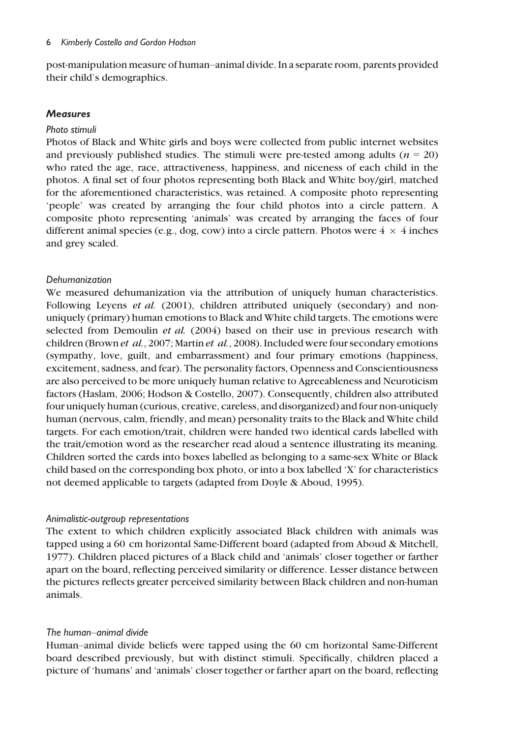post-manipulation measure of human–animal divide. In a separate room, parents provided their child's demographics.

## **Measures**

## Photo stimuli

Photos of Black and White girls and boys were collected from public internet websites and previously published studies. The stimuli were pre-tested among adults ( $n = 20$ ) who rated the age, race, attractiveness, happiness, and niceness of each child in the photos. A final set of four photos representing both Black and White boy/girl, matched for the aforementioned characteristics, was retained. A composite photo representing 'people' was created by arranging the four child photos into a circle pattern. A composite photo representing 'animals' was created by arranging the faces of four different animal species (e.g., dog, cow) into a circle pattern. Photos were  $4 \times 4$  inches and grey scaled.

## Dehumanization

We measured dehumanization via the attribution of uniquely human characteristics. Following Leyens et al. (2001), children attributed uniquely (secondary) and nonuniquely (primary) human emotions to Black and White child targets. The emotions were selected from Demoulin *et al.*  $(2004)$  based on their use in previous research with children (Brown et al., 2007; Martin et al., 2008). Included were four secondary emotions (sympathy, love, guilt, and embarrassment) and four primary emotions (happiness, excitement, sadness, and fear). The personality factors, Openness and Conscientiousness are also perceived to be more uniquely human relative to Agreeableness and Neuroticism factors (Haslam, 2006; Hodson & Costello, 2007). Consequently, children also attributed four uniquely human (curious, creative, careless, and disorganized) and four non-uniquely human (nervous, calm, friendly, and mean) personality traits to the Black and White child targets. For each emotion/trait, children were handed two identical cards labelled with the trait/emotion word as the researcher read aloud a sentence illustrating its meaning. Children sorted the cards into boxes labelled as belonging to a same-sex White or Black child based on the corresponding box photo, or into a box labelled 'X' for characteristics not deemed applicable to targets (adapted from Doyle & Aboud, 1995).

## Animalistic-outgroup representations

The extent to which children explicitly associated Black children with animals was tapped using a 60 cm horizontal Same-Different board (adapted from Aboud & Mitchell, 1977). Children placed pictures of a Black child and 'animals' closer together or farther apart on the board, reflecting perceived similarity or difference. Lesser distance between the pictures reflects greater perceived similarity between Black children and non-human animals.

## The human–animal divide

Human–animal divide beliefs were tapped using the 60 cm horizontal Same-Different board described previously, but with distinct stimuli. Specifically, children placed a picture of 'humans' and 'animals' closer together or farther apart on the board, reflecting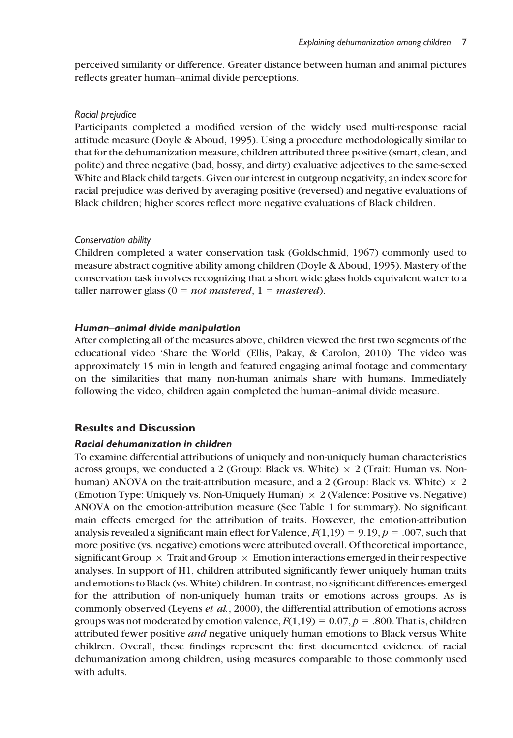perceived similarity or difference. Greater distance between human and animal pictures reflects greater human–animal divide perceptions.

#### Racial prejudice

Participants completed a modified version of the widely used multi-response racial attitude measure (Doyle & Aboud, 1995). Using a procedure methodologically similar to that for the dehumanization measure, children attributed three positive (smart, clean, and polite) and three negative (bad, bossy, and dirty) evaluative adjectives to the same-sexed White and Black child targets. Given our interest in outgroup negativity, an index score for racial prejudice was derived by averaging positive (reversed) and negative evaluations of Black children; higher scores reflect more negative evaluations of Black children.

#### Conservation ability

Children completed a water conservation task (Goldschmid, 1967) commonly used to measure abstract cognitive ability among children (Doyle & Aboud, 1995). Mastery of the conservation task involves recognizing that a short wide glass holds equivalent water to a taller narrower glass  $(0 = not mastered, 1 = mastered)$ .

#### Human–animal divide manipulation

After completing all of the measures above, children viewed the first two segments of the educational video 'Share the World' (Ellis, Pakay, & Carolon, 2010). The video was approximately 15 min in length and featured engaging animal footage and commentary on the similarities that many non-human animals share with humans. Immediately following the video, children again completed the human–animal divide measure.

## Results and Discussion

#### Racial dehumanization in children

To examine differential attributions of uniquely and non-uniquely human characteristics across groups, we conducted a 2 (Group: Black vs. White)  $\times$  2 (Trait: Human vs. Nonhuman) ANOVA on the trait-attribution measure, and a 2 (Group: Black vs. White)  $\times$  2 (Emotion Type: Uniquely vs. Non-Uniquely Human)  $\times$  2 (Valence: Positive vs. Negative) ANOVA on the emotion-attribution measure (See Table 1 for summary). No significant main effects emerged for the attribution of traits. However, the emotion-attribution analysis revealed a significant main effect for Valence,  $F(1,19) = 9.19$ ,  $p = .007$ , such that more positive (vs. negative) emotions were attributed overall. Of theoretical importance, significant Group  $\times$  Trait and Group  $\times$  Emotion interactions emerged in their respective analyses. In support of H1, children attributed significantly fewer uniquely human traits and emotions to Black (vs.White) children. In contrast, no significant differences emerged for the attribution of non-uniquely human traits or emotions across groups. As is commonly observed (Leyens et al., 2000), the differential attribution of emotions across groups was not moderated by emotion valence,  $F(1,19) = 0.07$ ,  $p = .800$ . That is, children attributed fewer positive and negative uniquely human emotions to Black versus White children. Overall, these findings represent the first documented evidence of racial dehumanization among children, using measures comparable to those commonly used with adults.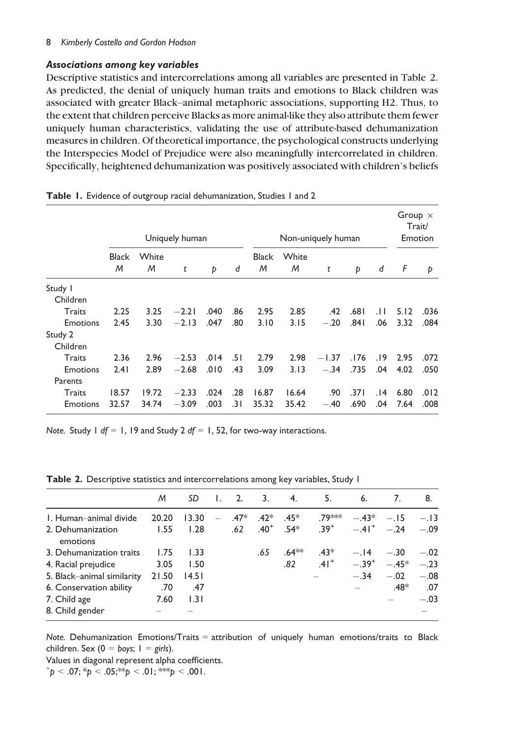#### 8 Kimberly Costello and Gordon Hodson

#### Associations among key variables

Descriptive statistics and intercorrelations among all variables are presented in Table 2. As predicted, the denial of uniquely human traits and emotions to Black children was associated with greater Black–animal metaphoric associations, supporting H2. Thus, to the extent that children perceive Blacks as more animal-like they also attribute them fewer uniquely human characteristics, validating the use of attribute-based dehumanization measures in children. Of theoretical importance, the psychological constructs underlying the Interspecies Model of Prejudice were also meaningfully intercorrelated in children. Specifically, heightened dehumanization was positively associated with children's beliefs

|                 |                   |            | Uniquely human |      |     |                   |            | Non-uniquely human |       |     | Group $\times$ | Trait/<br>Emotion |
|-----------------|-------------------|------------|----------------|------|-----|-------------------|------------|--------------------|-------|-----|----------------|-------------------|
|                 | <b>Black</b><br>M | White<br>M | t              | Þ    | d   | <b>Black</b><br>M | White<br>M | t                  | Þ     | d   | F              | Þ                 |
| Study I         |                   |            |                |      |     |                   |            |                    |       |     |                |                   |
| Children        |                   |            |                |      |     |                   |            |                    |       |     |                |                   |
| Traits          | 2.25              | 3.25       | $-2.21$        | .040 | .86 | 2.95              | 2.85       | .42                | .681  | .H  | 5.12           | .036              |
| <b>Emotions</b> | 2.45              | 3.30       | $-2.13$        | .047 | .80 | 3.10              | 3.15       | $-.20$             | ا 84. | .06 | 3.32           | .084              |
| Study 2         |                   |            |                |      |     |                   |            |                    |       |     |                |                   |
| Children        |                   |            |                |      |     |                   |            |                    |       |     |                |                   |
| Traits          | 2.36              | 2.96       | $-2.53$        | .014 | .51 | 2.79              | 2.98       | $-1.37$            | .176  | 19. | 2.95           | .072              |
| Emotions        | 2.41              | 2.89       | $-2.68$        | .010 | .43 | 3.09              | 3.13       | $-.34$             | .735  | .04 | 4.02           | .050              |
| Parents         |                   |            |                |      |     |                   |            |                    |       |     |                |                   |
| Traits          | 18.57             | 19.72      | $-2.33$        | .024 | .28 | 16.87             | 16.64      | .90                | .371  | .14 | 6.80           | .012              |
| <b>Emotions</b> | 32.57             | 34.74      | $-3.09$        | .003 | .31 | 35.32             | 35.42      | $-.40$             | .690  | .04 | 7.64           | .008              |

Table 1. Evidence of outgroup racial dehumanization, Studies 1 and 2

Note. Study 1 df = 1, 19 and Study 2 df = 1, 52, for two-way interactions.

|                               | M     | SD    | $\mathbf{I}$ . | 2.     | 3.     | 4.      | 5.                                                           | 6.              | 7.                       | 8.     |
|-------------------------------|-------|-------|----------------|--------|--------|---------|--------------------------------------------------------------|-----------------|--------------------------|--------|
| 1. Human-animal divide        | 20.20 | 13.30 | $\equiv$       | $.47*$ | $.42*$ | $.45*$  | .79***                                                       | $-.43^*$ $-.15$ |                          | $-.13$ |
| 2. Dehumanization<br>emotions | 1.55  | 1.28  |                |        |        |         | $.62$ $.40^{+}$ $.54^{*}$ $.39^{+}$ $-.41^{+}$ $-.24$ $-.09$ |                 |                          |        |
| 3. Dehumanization traits      | 1.75  | 1.33  |                |        | .65    | $.64**$ | $.43*$                                                       | $-.14$          | $-.30$                   | $-.02$ |
| 4. Racial prejudice           | 3.05  | 1.50  |                |        |        | .82     | $.41+$                                                       |                 | $-.39^+$ $-.45^*$ $-.23$ |        |
| 5. Black-animal similarity    | 21.50 | 14.51 |                |        |        |         |                                                              | $-.34$          | $-.02$                   | $-.08$ |
| 6. Conservation ability       | .70   | .47   |                |        |        |         |                                                              |                 | .48*                     | .07    |
| 7. Child age                  | 7.60  | 1.31  |                |        |        |         |                                                              |                 |                          | $-.03$ |
| 8. Child gender               |       |       |                |        |        |         |                                                              |                 |                          |        |

Table 2. Descriptive statistics and intercorrelations among key variables, Study 1

Note. Dehumanization Emotions/Traits = attribution of uniquely human emotions/traits to Black children. Sex (0 = boys;  $1 = girls$ ).

Values in diagonal represent alpha coefficients.

 $^+p < .07; ^{*}p < .05; ^{*}p < .01; ^{*}$ \*\*p  $< .001$ .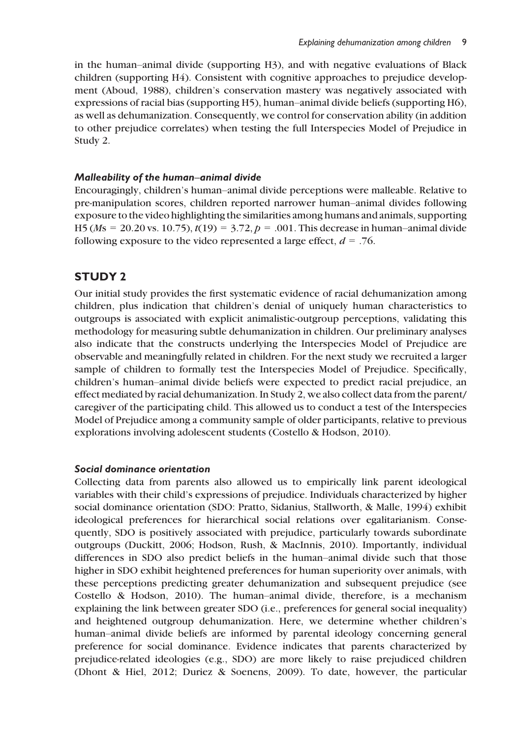in the human–animal divide (supporting H3), and with negative evaluations of Black children (supporting H4). Consistent with cognitive approaches to prejudice development (Aboud, 1988), children's conservation mastery was negatively associated with expressions of racial bias (supporting H5), human–animal divide beliefs (supporting H6), as well as dehumanization. Consequently, we control for conservation ability (in addition to other prejudice correlates) when testing the full Interspecies Model of Prejudice in Study 2.

#### Malleability of the human–animal divide

Encouragingly, children's human–animal divide perceptions were malleable. Relative to pre-manipulation scores, children reported narrower human–animal divides following exposure to the video highlighting the similarities among humans and animals, supporting H5 ( $M$ s = 20.20 vs. 10.75),  $t(19) = 3.72$ ,  $p = .001$ . This decrease in human–animal divide following exposure to the video represented a large effect,  $d = .76$ .

## STUDY 2

Our initial study provides the first systematic evidence of racial dehumanization among children, plus indication that children's denial of uniquely human characteristics to outgroups is associated with explicit animalistic-outgroup perceptions, validating this methodology for measuring subtle dehumanization in children. Our preliminary analyses also indicate that the constructs underlying the Interspecies Model of Prejudice are observable and meaningfully related in children. For the next study we recruited a larger sample of children to formally test the Interspecies Model of Prejudice. Specifically, children's human–animal divide beliefs were expected to predict racial prejudice, an effect mediated by racial dehumanization. In Study 2, we also collect data from the parent/ caregiver of the participating child. This allowed us to conduct a test of the Interspecies Model of Prejudice among a community sample of older participants, relative to previous explorations involving adolescent students (Costello & Hodson, 2010).

#### Social dominance orientation

Collecting data from parents also allowed us to empirically link parent ideological variables with their child's expressions of prejudice. Individuals characterized by higher social dominance orientation (SDO: Pratto, Sidanius, Stallworth, & Malle, 1994) exhibit ideological preferences for hierarchical social relations over egalitarianism. Consequently, SDO is positively associated with prejudice, particularly towards subordinate outgroups (Duckitt, 2006; Hodson, Rush, & MacInnis, 2010). Importantly, individual differences in SDO also predict beliefs in the human–animal divide such that those higher in SDO exhibit heightened preferences for human superiority over animals, with these perceptions predicting greater dehumanization and subsequent prejudice (see Costello & Hodson, 2010). The human–animal divide, therefore, is a mechanism explaining the link between greater SDO (i.e., preferences for general social inequality) and heightened outgroup dehumanization. Here, we determine whether children's human–animal divide beliefs are informed by parental ideology concerning general preference for social dominance. Evidence indicates that parents characterized by prejudice-related ideologies (e.g., SDO) are more likely to raise prejudiced children (Dhont & Hiel, 2012; Duriez & Soenens, 2009). To date, however, the particular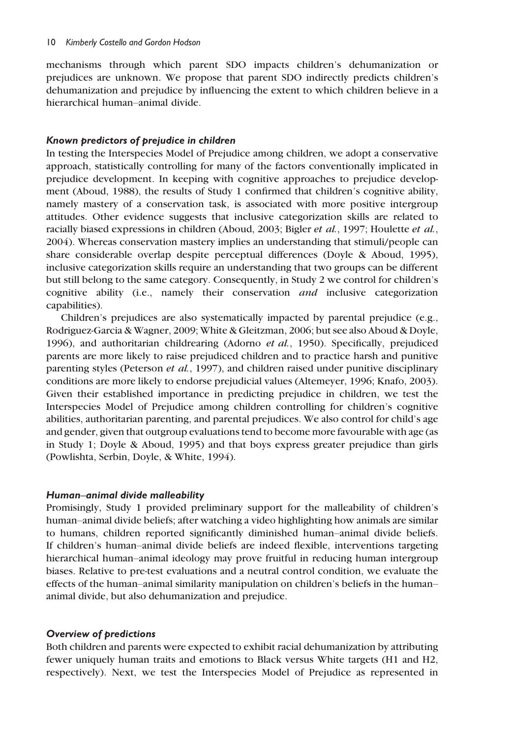mechanisms through which parent SDO impacts children's dehumanization or prejudices are unknown. We propose that parent SDO indirectly predicts children's dehumanization and prejudice by influencing the extent to which children believe in a hierarchical human–animal divide.

## Known predictors of prejudice in children

In testing the Interspecies Model of Prejudice among children, we adopt a conservative approach, statistically controlling for many of the factors conventionally implicated in prejudice development. In keeping with cognitive approaches to prejudice development (Aboud, 1988), the results of Study 1 confirmed that children's cognitive ability, namely mastery of a conservation task, is associated with more positive intergroup attitudes. Other evidence suggests that inclusive categorization skills are related to racially biased expressions in children (Aboud, 2003; Bigler et al., 1997; Houlette et al., 2004). Whereas conservation mastery implies an understanding that stimuli/people can share considerable overlap despite perceptual differences (Doyle & Aboud, 1995), inclusive categorization skills require an understanding that two groups can be different but still belong to the same category. Consequently, in Study 2 we control for children's cognitive ability (i.e., namely their conservation and inclusive categorization capabilities).

Children's prejudices are also systematically impacted by parental prejudice (e.g., Rodriguez-Garcia & Wagner, 2009; White & Gleitzman, 2006; but see also Aboud & Doyle, 1996), and authoritarian childrearing (Adorno et al., 1950). Specifically, prejudiced parents are more likely to raise prejudiced children and to practice harsh and punitive parenting styles (Peterson et al., 1997), and children raised under punitive disciplinary conditions are more likely to endorse prejudicial values (Altemeyer, 1996; Knafo, 2003). Given their established importance in predicting prejudice in children, we test the Interspecies Model of Prejudice among children controlling for children's cognitive abilities, authoritarian parenting, and parental prejudices. We also control for child's age and gender, given that outgroup evaluations tend to become more favourable with age (as in Study 1; Doyle & Aboud, 1995) and that boys express greater prejudice than girls (Powlishta, Serbin, Doyle, & White, 1994).

## Human–animal divide malleability

Promisingly, Study 1 provided preliminary support for the malleability of children's human–animal divide beliefs; after watching a video highlighting how animals are similar to humans, children reported significantly diminished human–animal divide beliefs. If children's human–animal divide beliefs are indeed flexible, interventions targeting hierarchical human–animal ideology may prove fruitful in reducing human intergroup biases. Relative to pre-test evaluations and a neutral control condition, we evaluate the effects of the human–animal similarity manipulation on children's beliefs in the human– animal divide, but also dehumanization and prejudice.

## Overview of predictions

Both children and parents were expected to exhibit racial dehumanization by attributing fewer uniquely human traits and emotions to Black versus White targets (H1 and H2, respectively). Next, we test the Interspecies Model of Prejudice as represented in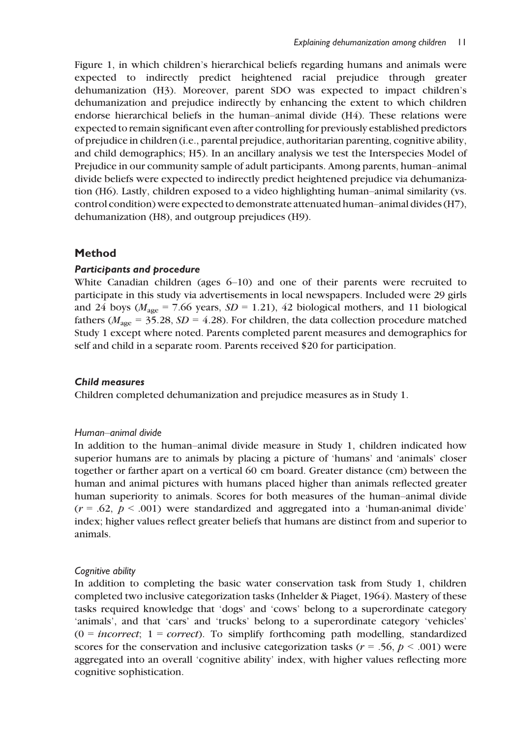Figure 1, in which children's hierarchical beliefs regarding humans and animals were expected to indirectly predict heightened racial prejudice through greater dehumanization (H3). Moreover, parent SDO was expected to impact children's dehumanization and prejudice indirectly by enhancing the extent to which children endorse hierarchical beliefs in the human–animal divide (H4). These relations were expected to remain significant even after controlling for previously established predictors of prejudice in children (i.e., parental prejudice, authoritarian parenting, cognitive ability, and child demographics; H5). In an ancillary analysis we test the Interspecies Model of Prejudice in our community sample of adult participants. Among parents, human–animal divide beliefs were expected to indirectly predict heightened prejudice via dehumanization (H6). Lastly, children exposed to a video highlighting human–animal similarity (vs. control condition) were expected to demonstrate attenuated human–animal divides (H7), dehumanization (H8), and outgroup prejudices (H9).

## Method

## Participants and procedure

White Canadian children (ages 6–10) and one of their parents were recruited to participate in this study via advertisements in local newspapers. Included were 29 girls and 24 boys ( $M_{\text{age}} = 7.66$  years,  $SD = 1.21$ ), 42 biological mothers, and 11 biological fathers ( $M_{\text{age}} = 35.28$ ,  $SD = 4.28$ ). For children, the data collection procedure matched Study 1 except where noted. Parents completed parent measures and demographics for self and child in a separate room. Parents received \$20 for participation.

## Child measures

Children completed dehumanization and prejudice measures as in Study 1.

## Human–animal divide

In addition to the human–animal divide measure in Study 1, children indicated how superior humans are to animals by placing a picture of 'humans' and 'animals' closer together or farther apart on a vertical 60 cm board. Greater distance (cm) between the human and animal pictures with humans placed higher than animals reflected greater human superiority to animals. Scores for both measures of the human–animal divide  $(r = .62, p < .001)$  were standardized and aggregated into a 'human-animal divide' index; higher values reflect greater beliefs that humans are distinct from and superior to animals.

## Cognitive ability

In addition to completing the basic water conservation task from Study 1, children completed two inclusive categorization tasks (Inhelder & Piaget, 1964). Mastery of these tasks required knowledge that 'dogs' and 'cows' belong to a superordinate category 'animals', and that 'cars' and 'trucks' belong to a superordinate category 'vehicles'  $(0 = incorrect; 1 = correct)$ . To simplify forthcoming path modelling, standardized scores for the conservation and inclusive categorization tasks ( $r = .56$ ,  $p < .001$ ) were aggregated into an overall 'cognitive ability' index, with higher values reflecting more cognitive sophistication.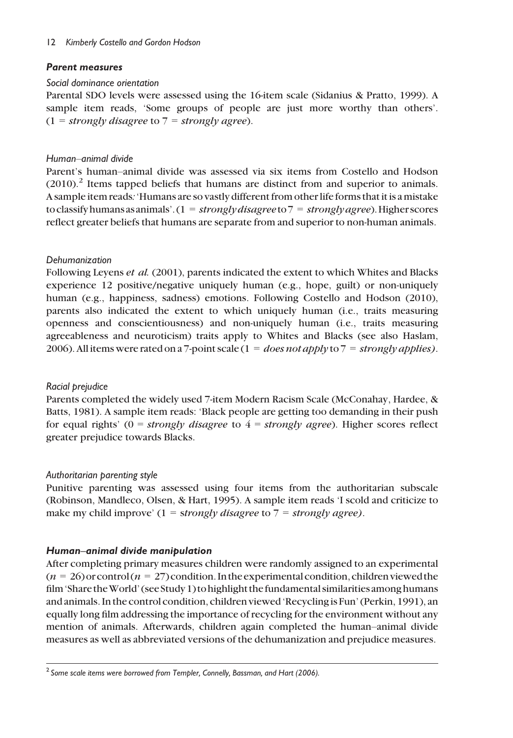## Parent measures

## Social dominance orientation

Parental SDO levels were assessed using the 16-item scale (Sidanius & Pratto, 1999). A sample item reads, 'Some groups of people are just more worthy than others'.  $(1 = strongly disagree to 7 = strongly agree).$ 

## Human–animal divide

Parent's human–animal divide was assessed via six items from Costello and Hodson  $(2010).<sup>2</sup>$  Items tapped beliefs that humans are distinct from and superior to animals. A sample item reads: 'Humans are so vastly different from other life forms that it is a mistake to classify humans as animals'.  $(1 = strongly disagree to 7 = strongly agree)$ . Higher scores reflect greater beliefs that humans are separate from and superior to non-human animals.

## Dehumanization

Following Leyens et al. (2001), parents indicated the extent to which Whites and Blacks experience 12 positive/negative uniquely human (e.g., hope, guilt) or non-uniquely human (e.g., happiness, sadness) emotions. Following Costello and Hodson (2010), parents also indicated the extent to which uniquely human (i.e., traits measuring openness and conscientiousness) and non-uniquely human (i.e., traits measuring agreeableness and neuroticism) traits apply to Whites and Blacks (see also Haslam, 2006). All items were rated on a 7-point scale (1 = does not apply to  $7 =$  strongly applies).

## Racial prejudice

Parents completed the widely used 7-item Modern Racism Scale (McConahay, Hardee, & Batts, 1981). A sample item reads: 'Black people are getting too demanding in their push for equal rights' (0 = *strongly disagree* to  $4 =$  *strongly agree*). Higher scores reflect greater prejudice towards Blacks.

## Authoritarian parenting style

Punitive parenting was assessed using four items from the authoritarian subscale (Robinson, Mandleco, Olsen, & Hart, 1995). A sample item reads 'I scold and criticize to make my child improve' (1 = strongly disagree to  $7 =$  strongly agree).

## Human–animal divide manipulation

After completing primary measures children were randomly assigned to an experimental  $(n = 26)$  or control  $(n = 27)$  condition. In the experimental condition, children viewed the film'Share theWorld' (see Study 1) to highlight the fundamental similarities among humans and animals. In the control condition, children viewed 'Recycling is Fun' (Perkin, 1991), an equally long film addressing the importance of recycling for the environment without any mention of animals. Afterwards, children again completed the human–animal divide measures as well as abbreviated versions of the dehumanization and prejudice measures.

 $2$  Some scale items were borrowed from Templer, Connelly, Bassman, and Hart (2006).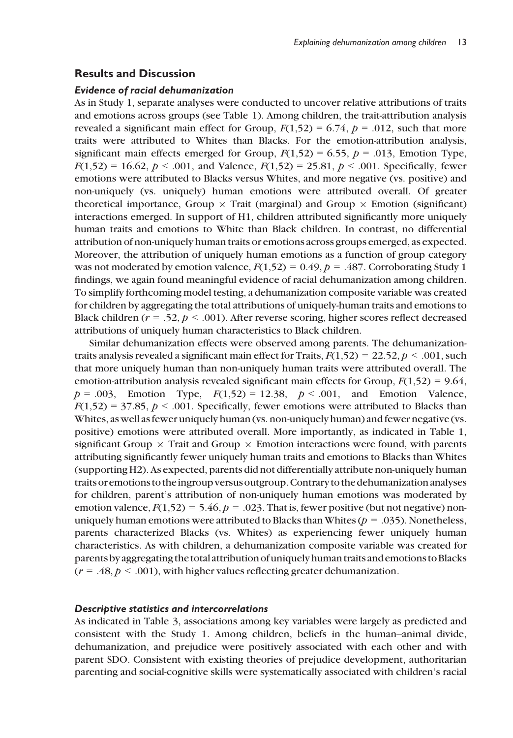#### Results and Discussion

#### Evidence of racial dehumanization

As in Study 1, separate analyses were conducted to uncover relative attributions of traits and emotions across groups (see Table 1). Among children, the trait-attribution analysis revealed a significant main effect for Group,  $F(1,52) = 6.74$ ,  $p = .012$ , such that more traits were attributed to Whites than Blacks. For the emotion-attribution analysis, significant main effects emerged for Group,  $F(1,52) = 6.55$ ,  $p = .013$ , Emotion Type,  $F(1,52) = 16.62, p < .001$ , and Valence,  $F(1,52) = 25.81, p < .001$ . Specifically, fewer emotions were attributed to Blacks versus Whites, and more negative (vs. positive) and non-uniquely (vs. uniquely) human emotions were attributed overall. Of greater theoretical importance, Group  $\times$  Trait (marginal) and Group  $\times$  Emotion (significant) interactions emerged. In support of H1, children attributed significantly more uniquely human traits and emotions to White than Black children. In contrast, no differential attribution of non-uniquely human traits or emotions across groups emerged, as expected. Moreover, the attribution of uniquely human emotions as a function of group category was not moderated by emotion valence,  $F(1,52) = 0.49$ ,  $p = .487$ . Corroborating Study 1 findings, we again found meaningful evidence of racial dehumanization among children. To simplify forthcoming model testing, a dehumanization composite variable was created for children by aggregating the total attributions of uniquely-human traits and emotions to Black children ( $r = .52$ ,  $p < .001$ ). After reverse scoring, higher scores reflect decreased attributions of uniquely human characteristics to Black children.

Similar dehumanization effects were observed among parents. The dehumanizationtraits analysis revealed a significant main effect for Traits,  $F(1,52) = 22.52$ ,  $p < .001$ , such that more uniquely human than non-uniquely human traits were attributed overall. The emotion-attribution analysis revealed significant main effects for Group,  $F(1,52) = 9.64$ ,  $p = .003$ , Emotion Type,  $F(1,52) = 12.38$ ,  $p < .001$ , and Emotion Valence,  $F(1,52) = 37.85$ ,  $p < .001$ . Specifically, fewer emotions were attributed to Blacks than Whites, as well as fewer uniquely human (vs. non-uniquely human) and fewer negative (vs. positive) emotions were attributed overall. More importantly, as indicated in Table 1, significant Group  $\times$  Trait and Group  $\times$  Emotion interactions were found, with parents attributing significantly fewer uniquely human traits and emotions to Blacks than Whites (supporting H2). As expected, parents did not differentially attribute non-uniquely human traits or emotions to the ingroup versus outgroup. Contrary to the dehumanization analyses for children, parent's attribution of non-uniquely human emotions was moderated by emotion valence,  $F(1,52) = 5.46$ ,  $p = .023$ . That is, fewer positive (but not negative) nonuniquely human emotions were attributed to Blacks than Whites ( $p = .035$ ). Nonetheless, parents characterized Blacks (vs. Whites) as experiencing fewer uniquely human characteristics. As with children, a dehumanization composite variable was created for parents by aggregating the total attribution of uniquely human traits and emotions to Blacks  $(r = .48, p < .001)$ , with higher values reflecting greater dehumanization.

#### Descriptive statistics and intercorrelations

As indicated in Table 3, associations among key variables were largely as predicted and consistent with the Study 1. Among children, beliefs in the human–animal divide, dehumanization, and prejudice were positively associated with each other and with parent SDO. Consistent with existing theories of prejudice development, authoritarian parenting and social-cognitive skills were systematically associated with children's racial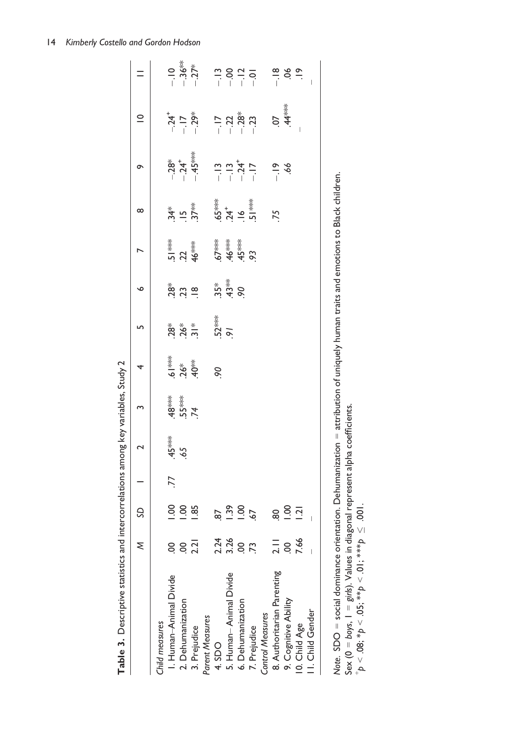| Table 3. Descriptive statistics and intercorrelations among key variables, Study 2 |               |                                     |    |                   |                   |                                                                  |                 |                                                 |                                                             |                                              |                                                                       |                                  |                            |
|------------------------------------------------------------------------------------|---------------|-------------------------------------|----|-------------------|-------------------|------------------------------------------------------------------|-----------------|-------------------------------------------------|-------------------------------------------------------------|----------------------------------------------|-----------------------------------------------------------------------|----------------------------------|----------------------------|
|                                                                                    |               | S                                   |    |                   |                   |                                                                  | 5               | ∾                                               |                                                             | ∞                                            | ᡡ                                                                     | $\subseteq$                      |                            |
| Child measures                                                                     |               |                                     |    |                   |                   |                                                                  |                 |                                                 |                                                             |                                              |                                                                       |                                  |                            |
| I. Human-Animal Divide                                                             | S.            |                                     | 77 |                   |                   |                                                                  |                 |                                                 |                                                             |                                              |                                                                       |                                  |                            |
| 2. Dehumanization                                                                  | So            | $rac{8}{6}$ $rac{8}{6}$ $rac{8}{6}$ |    | $.45***$<br>$.65$ | $48***$<br>53 *** | $\frac{2}{3}$<br>$\frac{2}{3}$<br>$\frac{2}{3}$<br>$\frac{2}{3}$ |                 | __<br>23<br>23<br>28                            | $\frac{51***}{22}$                                          | $\frac{34}{4}$ is $\frac{3}{12}$             |                                                                       | $-24 +$<br>$-72$<br>$-72$        | $-10$<br>$-36**$<br>$-27*$ |
| 3. Prejudice                                                                       | 21            |                                     |    |                   |                   |                                                                  | 28*<br>26 *     |                                                 |                                                             |                                              | $-28^*$<br>$-24^+$<br>$-45^{***}$                                     |                                  |                            |
| Parent Measures                                                                    |               |                                     |    |                   |                   |                                                                  |                 |                                                 |                                                             |                                              |                                                                       |                                  |                            |
| 4. SDO                                                                             | 2.24          |                                     |    |                   |                   | 06                                                               | $52***$<br>$91$ |                                                 |                                                             |                                              |                                                                       |                                  |                            |
| 5. Human-Animal Divide                                                             | 3.26          | $\frac{25}{30}$<br>$\frac{25}{30}$  |    |                   |                   |                                                                  |                 | $\frac{3}{4}$<br>$\frac{4}{3}$<br>$\frac{8}{6}$ | $5 *$<br>$4 *$<br>$4 *$<br>$5 *$<br>$6 *$<br>$7 *$<br>$8 *$ | $5*$<br>$5*$<br>$7*$<br>$9*$<br>$5*$<br>$5*$ | $\frac{1}{2}$ $\frac{1}{2}$ $\frac{1}{2}$ $\frac{1}{4}$ $\frac{1}{2}$ |                                  |                            |
| 6. Dehumanization                                                                  | S.            |                                     |    |                   |                   |                                                                  |                 |                                                 |                                                             |                                              |                                                                       |                                  |                            |
| 7. Prejudice                                                                       | $\tilde{z}$   |                                     |    |                   |                   |                                                                  |                 |                                                 |                                                             |                                              |                                                                       | $-17$<br>$-22$<br>$-28$<br>$-23$ | $-300$<br>$-300$<br>$-100$ |
| <b>Control Measures</b>                                                            |               |                                     |    |                   |                   |                                                                  |                 |                                                 |                                                             |                                              |                                                                       |                                  |                            |
| 8. Authoritarian Parenting                                                         | $\frac{1}{2}$ |                                     |    |                   |                   |                                                                  |                 |                                                 |                                                             | 75                                           | $-96$                                                                 | $-44**$                          |                            |
| 9. Cognitive Ability                                                               | 8             | <u>្លួ 8 ក្ន</u>                    |    |                   |                   |                                                                  |                 |                                                 |                                                             |                                              |                                                                       |                                  | $rac{36}{1}$ $rac{36}{1}$  |
| 10. Child Age                                                                      | 7.66          |                                     |    |                   |                   |                                                                  |                 |                                                 |                                                             |                                              |                                                                       |                                  |                            |
| II. Child Gender                                                                   |               |                                     |    |                   |                   |                                                                  |                 |                                                 |                                                             |                                              |                                                                       |                                  |                            |

Note. SDO = social dominance orientation. Dehumanization = attribution of uniquely human traits and emotions to Black children.<br>Sex (0 = boys, 1 = girls). Values in diagonal represent alpha coefficients.<br><sup>+</sup>p < .08; \*p < Note. SDO = social dominance orientation. Dehumanization = attribution of uniquely human traits and emotions to Black children.

Sex ( $0 = boys$ ,  $1 = girls$ ). Values in diagonal represent alpha coefficients.  $^+p < .08;$  \* $p < .05;$  \*\* $p < .01;$  \*\*\* $p \le .001$ .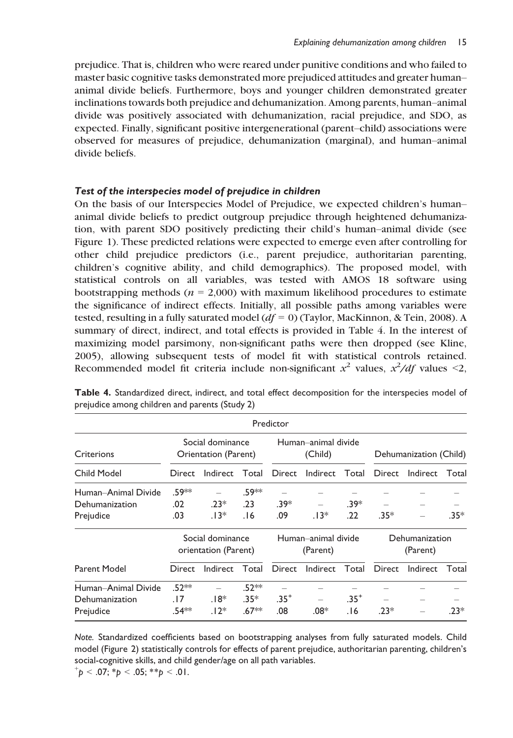prejudice. That is, children who were reared under punitive conditions and who failed to master basic cognitive tasks demonstrated more prejudiced attitudes and greater human– animal divide beliefs. Furthermore, boys and younger children demonstrated greater inclinations towards both prejudice and dehumanization. Among parents, human–animal divide was positively associated with dehumanization, racial prejudice, and SDO, as expected. Finally, significant positive intergenerational (parent–child) associations were observed for measures of prejudice, dehumanization (marginal), and human–animal divide beliefs.

## Test of the interspecies model of prejudice in children

On the basis of our Interspecies Model of Prejudice, we expected children's human– animal divide beliefs to predict outgroup prejudice through heightened dehumanization, with parent SDO positively predicting their child's human–animal divide (see Figure 1). These predicted relations were expected to emerge even after controlling for other child prejudice predictors (i.e., parent prejudice, authoritarian parenting, children's cognitive ability, and child demographics). The proposed model, with statistical controls on all variables, was tested with AMOS 18 software using bootstrapping methods ( $n = 2,000$ ) with maximum likelihood procedures to estimate the significance of indirect effects. Initially, all possible paths among variables were tested, resulting in a fully saturated model ( $df = 0$ ) (Taylor, MacKinnon, & Tein, 2008). A summary of direct, indirect, and total effects is provided in Table 4. In the interest of maximizing model parsimony, non-significant paths were then dropped (see Kline, 2005), allowing subsequent tests of model fit with statistical controls retained. Recommended model fit criteria include non-significant  $x^2$  values,  $x^2/df$  values <2,

| Predictor           |                                          |                                          |                    |               |                                 |           |        |                            |        |  |
|---------------------|------------------------------------------|------------------------------------------|--------------------|---------------|---------------------------------|-----------|--------|----------------------------|--------|--|
| Criterions          |                                          | Social dominance<br>Orientation (Parent) |                    |               | Human-animal divide<br>(Child)  |           |        | Dehumanization (Child)     |        |  |
| Child Model         | Direct                                   | Indirect                                 | Total              | Direct        | Indirect                        | Total     | Direct | Indirect                   | Total  |  |
| Human-Animal Divide | .59**                                    |                                          | .59**              |               |                                 |           |        |                            |        |  |
| Dehumanization      | .02                                      | $.23*$                                   | .23                | $.39*$        |                                 | $.39*$    |        |                            |        |  |
| Prejudice           | .03                                      | $.13*$                                   | 16.                | .09           | $.13*$                          | .22       | $.35*$ |                            | $.35*$ |  |
|                     | Social dominance<br>orientation (Parent) |                                          |                    |               | Human-animal divide<br>(Parent) |           |        | Dehumanization<br>(Parent) |        |  |
| Parent Model        | Direct                                   | Indirect                                 | Total              | <b>Direct</b> | Indirect                        | Total     | Direct | Indirect                   | Total  |  |
| Human-Animal Divide | .52 <sup>∗</sup> *                       |                                          | .52 <sup>*</sup> * |               |                                 |           |        |                            |        |  |
| Dehumanization      | .17                                      | $.18*$                                   | $.35*$             | $.35^{+}$     |                                 | $.35^{+}$ |        |                            |        |  |
| Prejudice           | .54**                                    | $.12*$                                   | $.67**$            | .08           | $.08*$                          | 6 .       | .23*   |                            | $.23*$ |  |

Table 4. Standardized direct, indirect, and total effect decomposition for the interspecies model of prejudice among children and parents (Study 2)

Note. Standardized coefficients based on bootstrapping analyses from fully saturated models. Child model (Figure 2) statistically controls for effects of parent prejudice, authoritarian parenting, children's social-cognitive skills, and child gender/age on all path variables.

 $p^+p < .07; \, p < .05; \, \text{**}p < .01.$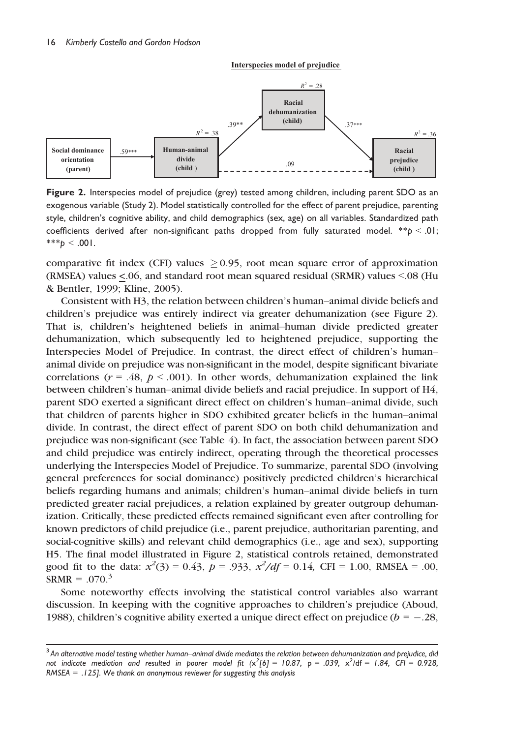#### **Interspecies model of prejudice**



Figure 2. Interspecies model of prejudice (grey) tested among children, including parent SDO as an exogenous variable (Study 2). Model statistically controlled for the effect of parent prejudice, parenting style, children's cognitive ability, and child demographics (sex, age) on all variables. Standardized path coefficients derived after non-significant paths dropped from fully saturated model.  $**p < .01$ ; \*\*\* $b < .001$ .

comparative fit index (CFI) values  $\geq$  0.95, root mean square error of approximation (RMSEA) values <.06, and standard root mean squared residual (SRMR) values <.08 (Hu & Bentler, 1999; Kline, 2005).

Consistent with H3, the relation between children's human–animal divide beliefs and children's prejudice was entirely indirect via greater dehumanization (see Figure 2). That is, children's heightened beliefs in animal–human divide predicted greater dehumanization, which subsequently led to heightened prejudice, supporting the Interspecies Model of Prejudice. In contrast, the direct effect of children's human– animal divide on prejudice was non-significant in the model, despite significant bivariate correlations ( $r = .48$ ,  $p < .001$ ). In other words, dehumanization explained the link between children's human–animal divide beliefs and racial prejudice. In support of H4, parent SDO exerted a significant direct effect on children's human–animal divide, such that children of parents higher in SDO exhibited greater beliefs in the human–animal divide. In contrast, the direct effect of parent SDO on both child dehumanization and prejudice was non-significant (see Table 4). In fact, the association between parent SDO and child prejudice was entirely indirect, operating through the theoretical processes underlying the Interspecies Model of Prejudice. To summarize, parental SDO (involving general preferences for social dominance) positively predicted children's hierarchical beliefs regarding humans and animals; children's human–animal divide beliefs in turn predicted greater racial prejudices, a relation explained by greater outgroup dehumanization. Critically, these predicted effects remained significant even after controlling for known predictors of child prejudice (i.e., parent prejudice, authoritarian parenting, and social-cognitive skills) and relevant child demographics (i.e., age and sex), supporting H5. The final model illustrated in Figure 2, statistical controls retained, demonstrated good fit to the data:  $x^2(3) = 0.43$ ,  $p = .933$ ,  $x^2/df = 0.14$ , CFI = 1.00, RMSEA = .00,  $SRMR = .070^{3}$ 

Some noteworthy effects involving the statistical control variables also warrant discussion. In keeping with the cognitive approaches to children's prejudice (Aboud, 1988), children's cognitive ability exerted a unique direct effect on prejudice ( $b = -.28$ ,

<sup>&</sup>lt;sup>3</sup> An alternative model testing whether human–animal divide mediates the relation between dehumanization and prejudice, did not indicate mediation and resulted in poorer model fit  $(x^2[6] = 10.87, p = .039, x^2/df = 1.84, CF = 0.928,$  $RMSEA = .1251$ . We thank an anonymous reviewer for suggesting this analysis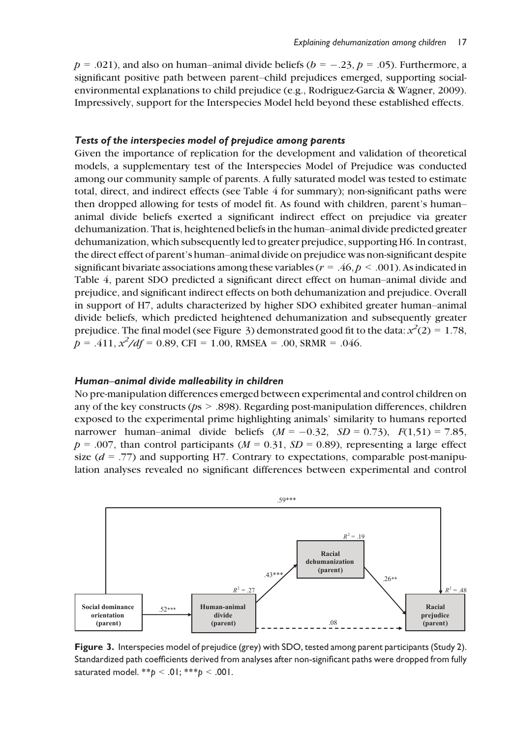$p = .021$ , and also on human–animal divide beliefs ( $b = -.23$ ,  $p = .05$ ). Furthermore, a significant positive path between parent–child prejudices emerged, supporting socialenvironmental explanations to child prejudice (e.g., Rodriguez-Garcia & Wagner, 2009). Impressively, support for the Interspecies Model held beyond these established effects.

#### Tests of the interspecies model of prejudice among parents

Given the importance of replication for the development and validation of theoretical models, a supplementary test of the Interspecies Model of Prejudice was conducted among our community sample of parents. A fully saturated model was tested to estimate total, direct, and indirect effects (see Table 4 for summary); non-significant paths were then dropped allowing for tests of model fit. As found with children, parent's human– animal divide beliefs exerted a significant indirect effect on prejudice via greater dehumanization. That is, heightened beliefs in the human–animal divide predicted greater dehumanization, which subsequently led to greater prejudice, supporting H6. In contrast, the direct effect of parent's human–animal divide on prejudice was non-significant despite significant bivariate associations among these variables ( $r = .46$ ,  $p < .001$ ). As indicated in Table 4, parent SDO predicted a significant direct effect on human–animal divide and prejudice, and significant indirect effects on both dehumanization and prejudice. Overall in support of H7, adults characterized by higher SDO exhibited greater human–animal divide beliefs, which predicted heightened dehumanization and subsequently greater prejudice. The final model (see Figure 3) demonstrated good fit to the data:  $x^2(2) = 1.78$ ,  $p = .411, x^2/df = 0.89$ , CFI = 1.00, RMSEA = .00, SRMR = .046.

## Human–animal divide malleability in children

No pre-manipulation differences emerged between experimental and control children on any of the key constructs ( $ps > .898$ ). Regarding post-manipulation differences, children exposed to the experimental prime highlighting animals' similarity to humans reported narrower human–animal divide beliefs  $(M = -0.32, SD = 0.73)$ ,  $F(1,51) = 7.85$ ,  $p = 0.007$ , than control participants ( $M = 0.31$ ,  $SD = 0.89$ ), representing a large effect size  $(d = .77)$  and supporting H7. Contrary to expectations, comparable post-manipulation analyses revealed no significant differences between experimental and control



Figure 3. Interspecies model of prejudice (grey) with SDO, tested among parent participants (Study 2). Standardized path coefficients derived from analyses after non-significant paths were dropped from fully saturated model.  $*_{b} < .01$ ;  $*_{b} < .001$ .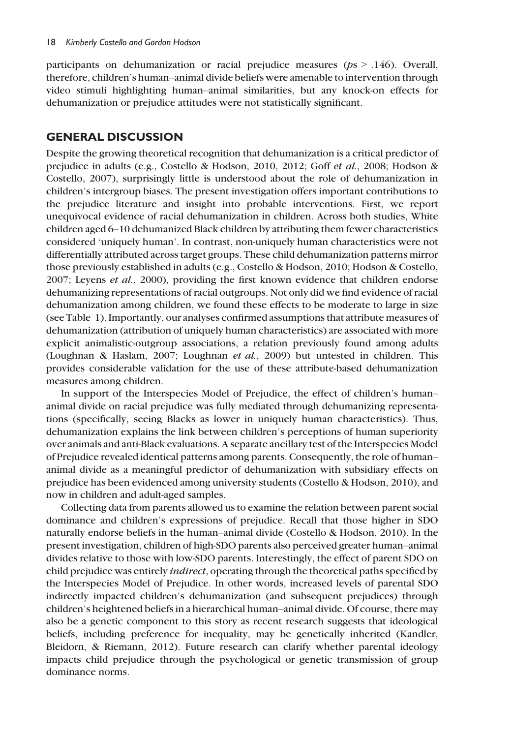participants on dehumanization or racial prejudice measures ( $ps > .146$ ). Overall, therefore, children's human–animal divide beliefs were amenable to intervention through video stimuli highlighting human–animal similarities, but any knock-on effects for dehumanization or prejudice attitudes were not statistically significant.

## GENERAL DISCUSSION

Despite the growing theoretical recognition that dehumanization is a critical predictor of prejudice in adults (e.g., Costello & Hodson, 2010, 2012; Goff et al., 2008; Hodson & Costello, 2007), surprisingly little is understood about the role of dehumanization in children's intergroup biases. The present investigation offers important contributions to the prejudice literature and insight into probable interventions. First, we report unequivocal evidence of racial dehumanization in children. Across both studies, White children aged 6–10 dehumanized Black children by attributing them fewer characteristics considered 'uniquely human'. In contrast, non-uniquely human characteristics were not differentially attributed across target groups. These child dehumanization patterns mirror those previously established in adults (e.g., Costello & Hodson, 2010; Hodson & Costello,  $2007$ ; Leyens *et al.*,  $2000$ ), providing the first known evidence that children endorse dehumanizing representations of racial outgroups. Not only did we find evidence of racial dehumanization among children, we found these effects to be moderate to large in size (see Table 1). Importantly, our analyses confirmed assumptions that attribute measures of dehumanization (attribution of uniquely human characteristics) are associated with more explicit animalistic-outgroup associations, a relation previously found among adults (Loughnan & Haslam, 2007; Loughnan et al., 2009) but untested in children. This provides considerable validation for the use of these attribute-based dehumanization measures among children.

In support of the Interspecies Model of Prejudice, the effect of children's human– animal divide on racial prejudice was fully mediated through dehumanizing representations (specifically, seeing Blacks as lower in uniquely human characteristics). Thus, dehumanization explains the link between children's perceptions of human superiority over animals and anti-Black evaluations. A separate ancillary test of the Interspecies Model of Prejudice revealed identical patterns among parents. Consequently, the role of human– animal divide as a meaningful predictor of dehumanization with subsidiary effects on prejudice has been evidenced among university students (Costello & Hodson, 2010), and now in children and adult-aged samples.

Collecting data from parents allowed us to examine the relation between parent social dominance and children's expressions of prejudice. Recall that those higher in SDO naturally endorse beliefs in the human–animal divide (Costello & Hodson, 2010). In the present investigation, children of high-SDO parents also perceived greater human–animal divides relative to those with low-SDO parents. Interestingly, the effect of parent SDO on child prejudice was entirely *indirect*, operating through the theoretical paths specified by the Interspecies Model of Prejudice. In other words, increased levels of parental SDO indirectly impacted children's dehumanization (and subsequent prejudices) through children's heightened beliefs in a hierarchical human–animal divide. Of course, there may also be a genetic component to this story as recent research suggests that ideological beliefs, including preference for inequality, may be genetically inherited (Kandler, Bleidorn, & Riemann, 2012). Future research can clarify whether parental ideology impacts child prejudice through the psychological or genetic transmission of group dominance norms.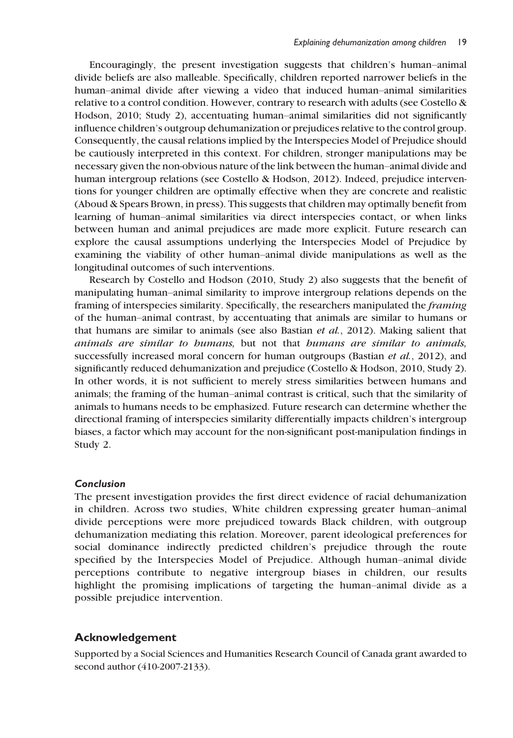Encouragingly, the present investigation suggests that children's human–animal divide beliefs are also malleable. Specifically, children reported narrower beliefs in the human–animal divide after viewing a video that induced human–animal similarities relative to a control condition. However, contrary to research with adults (see Costello & Hodson, 2010; Study 2), accentuating human–animal similarities did not significantly influence children's outgroup dehumanization or prejudices relative to the control group. Consequently, the causal relations implied by the Interspecies Model of Prejudice should be cautiously interpreted in this context. For children, stronger manipulations may be necessary given the non-obvious nature of the link between the human–animal divide and human intergroup relations (see Costello & Hodson, 2012). Indeed, prejudice interventions for younger children are optimally effective when they are concrete and realistic (Aboud & Spears Brown, in press). This suggests that children may optimally benefit from learning of human–animal similarities via direct interspecies contact, or when links between human and animal prejudices are made more explicit. Future research can explore the causal assumptions underlying the Interspecies Model of Prejudice by examining the viability of other human–animal divide manipulations as well as the longitudinal outcomes of such interventions.

Research by Costello and Hodson (2010, Study 2) also suggests that the benefit of manipulating human–animal similarity to improve intergroup relations depends on the framing of interspecies similarity. Specifically, the researchers manipulated the framing of the human–animal contrast, by accentuating that animals are similar to humans or that humans are similar to animals (see also Bastian et al., 2012). Making salient that animals are similar to humans, but not that humans are similar to animals, successfully increased moral concern for human outgroups (Bastian *et al.*, 2012), and significantly reduced dehumanization and prejudice (Costello & Hodson, 2010, Study 2). In other words, it is not sufficient to merely stress similarities between humans and animals; the framing of the human–animal contrast is critical, such that the similarity of animals to humans needs to be emphasized. Future research can determine whether the directional framing of interspecies similarity differentially impacts children's intergroup biases, a factor which may account for the non-significant post-manipulation findings in Study 2.

#### Conclusion

The present investigation provides the first direct evidence of racial dehumanization in children. Across two studies, White children expressing greater human–animal divide perceptions were more prejudiced towards Black children, with outgroup dehumanization mediating this relation. Moreover, parent ideological preferences for social dominance indirectly predicted children's prejudice through the route specified by the Interspecies Model of Prejudice. Although human–animal divide perceptions contribute to negative intergroup biases in children, our results highlight the promising implications of targeting the human–animal divide as a possible prejudice intervention.

#### Acknowledgement

Supported by a Social Sciences and Humanities Research Council of Canada grant awarded to second author (410-2007-2133).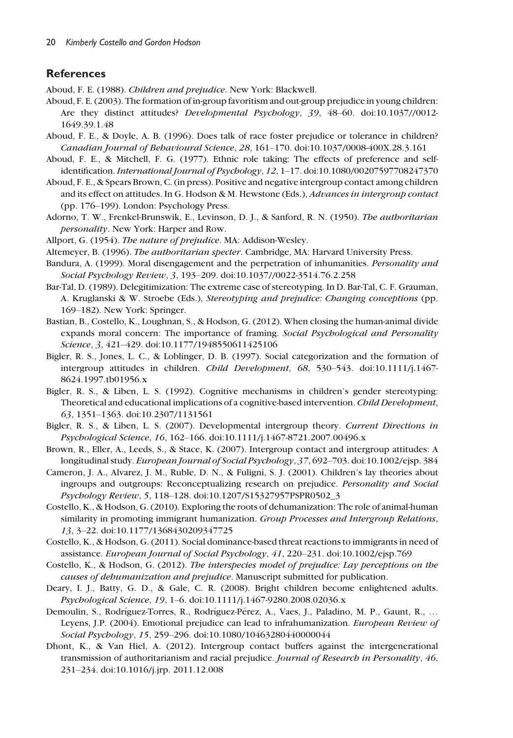#### **References**

Aboud, F. E. (1988). Children and prejudice. New York: Blackwell.

- Aboud, F. E. (2003). The formation of in-group favoritism and out-group prejudice in young children: Are they distinct attitudes? Developmental Psychology, 39, 48–60. doi:10.1037//0012- 1649.39.1.48
- Aboud, F. E., & Doyle, A. B. (1996). Does talk of race foster prejudice or tolerance in children? Canadian Journal of Behavioural Science, 28, 161–170. doi:10.1037/0008-400X.28.3.161
- Aboud, F. E., & Mitchell, F. G. (1977). Ethnic role taking: The effects of preference and selfidentification. International Journal of Psychology, 12, 1–17. doi:10.1080/00207597708247370
- Aboud, F. E., & Spears Brown, C. (in press). Positive and negative intergroup contact among children and its effect on attitudes. In G. Hodson & M. Hewstone (Eds.), Advances in intergroup contact (pp. 176–199). London: Psychology Press.
- Adorno, T. W., Frenkel-Brunswik, E., Levinson, D. J., & Sanford, R. N. (1950). The authoritarian personality. New York: Harper and Row.
- Allport, G. (1954). The nature of prejudice. MA: Addison-Wesley.
- Altemeyer, B. (1996). The authoritarian specter. Cambridge, MA: Harvard University Press.
- Bandura, A. (1999). Moral disengagement and the perpetration of inhumanities. Personality and Social Psychology Review, 3, 193–209. doi:10.1037//0022-3514.76.2.258
- Bar-Tal, D. (1989). Delegitimization: The extreme case of stereotyping. In D. Bar-Tal, C. F. Grauman, A. Kruglanski & W. Stroebe (Eds.), Stereotyping and prejudice: Changing conceptions (pp. 169–182). New York: Springer.
- Bastian, B., Costello, K., Loughnan, S., & Hodson, G. (2012). When closing the human-animal divide expands moral concern: The importance of framing. Social Psychological and Personality Science, 3, 421–429. doi:10.1177/1948550611425106
- Bigler, R. S., Jones, L. C., & Loblinger, D. B. (1997). Social categorization and the formation of intergroup attitudes in children. Child Development, 68, 530–543. doi:10.1111/j.1467- 8624.1997.tb01956.x
- Bigler, R. S., & Liben, L. S. (1992). Cognitive mechanisms in children's gender stereotyping: Theoretical and educational implications of a cognitive-based intervention. Child Development, 63, 1351–1363. doi:10.2307/1131561
- Bigler, R. S., & Liben, L. S. (2007). Developmental intergroup theory. Current Directions in Psychological Science, 16, 162–166. doi:10.1111/j.1467-8721.2007.00496.x
- Brown, R., Eller, A., Leeds, S., & Stace, K. (2007). Intergroup contact and intergroup attitudes: A longitudinal study. European Journal of Social Psychology, 37, 692–703. doi:10.1002/ejsp. 384
- Cameron, J. A., Alvarez, J. M., Ruble, D. N., & Fuligni, S. J. (2001). Children's lay theories about ingroups and outgroups: Reconceptualizing research on prejudice. Personality and Social Psychology Review, 5, 118–128. doi:10.1207/S15327957PSPR0502\_3
- Costello, K., & Hodson, G. (2010). Exploring the roots of dehumanization: The role of animal-human similarity in promoting immigrant humanization. Group Processes and Intergroup Relations, 13, 3–22. doi:10.1177/1368430209347725
- Costello, K., & Hodson, G. (2011). Social dominance-based threat reactions to immigrants in need of assistance. European Journal of Social Psychology, 41, 220–231. doi:10.1002/ejsp.769
- Costello, K., & Hodson, G. (2012). The interspecies model of prejudice: Lay perceptions on the causes of dehumanization and prejudice. Manuscript submitted for publication.
- Deary, I. J., Batty, G. D., & Gale, C. R. (2008). Bright children become enlightened adults. Psychological Science, 19, 1–6. doi:10.1111/j.1467-9280.2008.02036.x
- Demoulin, S., Rodríguez-Torres, R., Rodríguez-Pérez, A., Vaes, J., Paladino, M. P., Gaunt, R., ... Leyens, J.P. (2004). Emotional prejudice can lead to infrahumanization. European Review of Social Psychology, 15, 259–296. doi:10.1080/10463280440000044
- Dhont, K., & Van Hiel, A. (2012). Intergroup contact buffers against the intergenerational transmission of authoritarianism and racial prejudice. Journal of Research in Personality, 46, 231–234. doi:10.1016/j.jrp. 2011.12.008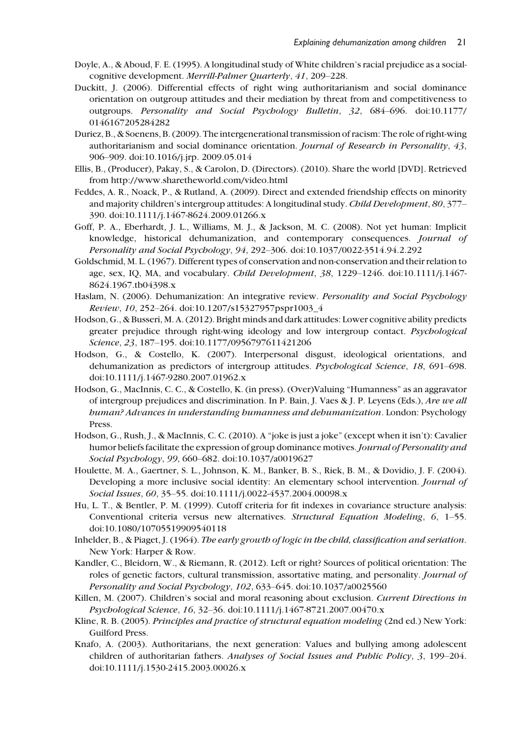- Doyle, A., & Aboud, F. E. (1995). A longitudinal study of White children's racial prejudice as a socialcognitive development. Merrill-Palmer Quarterly, 41, 209–228.
- Duckitt, J. (2006). Differential effects of right wing authoritarianism and social dominance orientation on outgroup attitudes and their mediation by threat from and competitiveness to outgroups. Personality and Social Psychology Bulletin, 32, 684–696. doi:10.1177/ 0146167205284282
- Duriez, B., & Soenens, B. (2009). The intergenerational transmission of racism: The role of right-wing authoritarianism and social dominance orientation. Journal of Research in Personality, 43, 906–909. doi:10.1016/j.jrp. 2009.05.014
- Ellis, B., (Producer), Pakay, S., & Carolon, D. (Directors). (2010). Share the world [DVD]. Retrieved from http://www.sharetheworld.com/video.html
- Feddes, A. R., Noack, P., & Rutland, A. (2009). Direct and extended friendship effects on minority and majority children's intergroup attitudes: A longitudinal study. Child Development, 80, 377– 390. doi:10.1111/j.1467-8624.2009.01266.x
- Goff, P. A., Eberhardt, J. L., Williams, M. J., & Jackson, M. C. (2008). Not yet human: Implicit knowledge, historical dehumanization, and contemporary consequences. Journal of Personality and Social Psychology, 94, 292–306. doi:10.1037/0022-3514.94.2.292
- Goldschmid, M. L. (1967). Different types of conservation and non-conservation and their relation to age, sex, IQ, MA, and vocabulary. Child Development, 38, 1229–1246. doi:10.1111/j.1467- 8624.1967.tb04398.x
- Haslam, N. (2006). Dehumanization: An integrative review. Personality and Social Psychology Review, 10, 252–264. doi:10.1207/s15327957pspr1003\_4
- Hodson, G., & Busseri, M. A. (2012). Bright minds and dark attitudes: Lower cognitive ability predicts greater prejudice through right-wing ideology and low intergroup contact. Psychological Science, 23, 187–195. doi:10.1177/0956797611421206
- Hodson, G., & Costello, K. (2007). Interpersonal disgust, ideological orientations, and dehumanization as predictors of intergroup attitudes. Psychological Science, 18, 691–698. doi:10.1111/j.1467-9280.2007.01962.x
- Hodson, G., MacInnis, C. C., & Costello, K. (in press). (Over)Valuing "Humanness" as an aggravator of intergroup prejudices and discrimination. In P. Bain, J. Vaes & J. P. Leyens (Eds.), Are we all human? Advances in understanding humanness and dehumanization. London: Psychology Press.
- Hodson, G., Rush, J., & MacInnis, C. C. (2010). A "joke is just a joke" (except when it isn't): Cavalier humor beliefs facilitate the expression of group dominance motives. Journal of Personality and Social Psychology, 99, 660–682. doi:10.1037/a0019627
- Houlette, M. A., Gaertner, S. L., Johnson, K. M., Banker, B. S., Riek, B. M., & Dovidio, J. F. (2004). Developing a more inclusive social identity: An elementary school intervention. Journal of Social Issues, 60, 35–55. doi:10.1111/j.0022-4537.2004.00098.x
- Hu, L. T., & Bentler, P. M. (1999). Cutoff criteria for fit indexes in covariance structure analysis: Conventional criteria versus new alternatives. Structural Equation Modeling, 6, 1–55. doi:10.1080/10705519909540118
- Inhelder, B., & Piaget, J. (1964). The early growth of logic in the child, classification and seriation. New York: Harper & Row.
- Kandler, C., Bleidorn, W., & Riemann, R. (2012). Left or right? Sources of political orientation: The roles of genetic factors, cultural transmission, assortative mating, and personality. Journal of Personality and Social Psychology, 102, 633–645. doi:10.1037/a0025560
- Killen, M. (2007). Children's social and moral reasoning about exclusion. Current Directions in Psychological Science, 16, 32–36. doi:10.1111/j.1467-8721.2007.00470.x
- Kline, R. B. (2005). Principles and practice of structural equation modeling (2nd ed.) New York: Guilford Press.
- Knafo, A. (2003). Authoritarians, the next generation: Values and bullying among adolescent children of authoritarian fathers. Analyses of Social Issues and Public Policy, 3, 199–204. doi:10.1111/j.1530-2415.2003.00026.x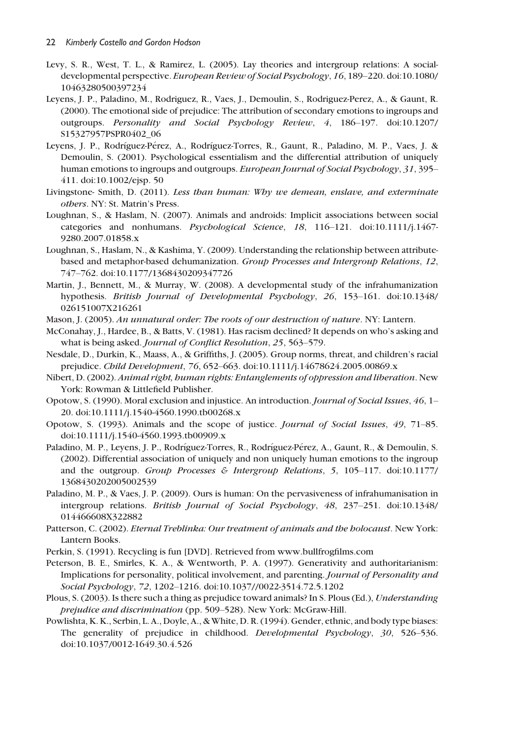- Levy, S. R., West, T. L., & Ramirez, L. (2005). Lay theories and intergroup relations: A socialdevelopmental perspective. European Review of Social Psychology, 16, 189–220. doi:10.1080/ 10463280500397234
- Leyens, J. P., Paladino, M., Rodriguez, R., Vaes, J., Demoulin, S., Rodriguez-Perez, A., & Gaunt, R. (2000). The emotional side of prejudice: The attribution of secondary emotions to ingroups and outgroups. Personality and Social Psychology Review, 4, 186–197. doi:10.1207/ S15327957PSPR0402\_06
- Leyens, J. P., Rodríguez-Pérez, A., Rodríguez-Torres, R., Gaunt, R., Paladino, M. P., Vaes, J. & Demoulin, S. (2001). Psychological essentialism and the differential attribution of uniquely human emotions to ingroups and outgroups. *European Journal of Social Psychology*, 31, 395– 411. doi:10.1002/ejsp. 50
- Livingstone- Smith, D. (2011). Less than human: Why we demean, enslave, and exterminate others. NY: St. Matrin's Press.
- Loughnan, S., & Haslam, N. (2007). Animals and androids: Implicit associations between social categories and nonhumans. Psychological Science, 18, 116–121. doi:10.1111/j.1467- 9280.2007.01858.x
- Loughnan, S., Haslam, N., & Kashima, Y. (2009). Understanding the relationship between attributebased and metaphor-based dehumanization. Group Processes and Intergroup Relations, 12, 747–762. doi:10.1177/1368430209347726
- Martin, J., Bennett, M., & Murray, W. (2008). A developmental study of the infrahumanization hypothesis. British Journal of Developmental Psychology, 26, 153–161. doi:10.1348/ 026151007X216261
- Mason, J. (2005). An unnatural order: The roots of our destruction of nature. NY: Lantern.
- McConahay, J., Hardee, B., & Batts, V. (1981). Has racism declined? It depends on who's asking and what is being asked. *Journal of Conflict Resolution*, 25, 563–579.
- Nesdale, D., Durkin, K., Maass, A., & Griffiths, J. (2005). Group norms, threat, and children's racial prejudice. Child Development, 76, 652–663. doi:10.1111/j.14678624.2005.00869.x
- Nibert, D. (2002). Animal right, human rights: Entanglements of oppression and liberation. New York: Rowman & Littlefield Publisher.
- Opotow, S. (1990). Moral exclusion and injustice. An introduction. Journal of Social Issues, 46, 1– 20. doi:10.1111/j.1540-4560.1990.tb00268.x
- Opotow, S. (1993). Animals and the scope of justice. Journal of Social Issues, 49, 71–85. doi:10.1111/j.1540-4560.1993.tb00909.x
- Paladino, M. P., Leyens, J. P., Rodríguez-Torres, R., Rodríguez-Pérez, A., Gaunt, R., & Demoulin, S. (2002). Differential association of uniquely and non uniquely human emotions to the ingroup and the outgroup. Group Processes  $\varepsilon$  Intergroup Relations, 5, 105-117. doi:10.1177/ 1368430202005002539
- Paladino, M. P., & Vaes, J. P. (2009). Ours is human: On the pervasiveness of infrahumanisation in intergroup relations. British Journal of Social Psychology, 48, 237–251. doi:10.1348/ 014466608X322882
- Patterson, C. (2002). Eternal Treblinka: Our treatment of animals and the holocaust. New York: Lantern Books.
- Perkin, S. (1991). Recycling is fun [DVD]. Retrieved from www.bullfrogfilms.com
- Peterson, B. E., Smirles, K. A., & Wentworth, P. A. (1997). Generativity and authoritarianism: Implications for personality, political involvement, and parenting. Journal of Personality and Social Psychology, 72, 1202–1216. doi:10.1037//0022-3514.72.5.1202
- Plous, S. (2003). Is there such a thing as prejudice toward animals? In S. Plous (Ed.), Understanding prejudice and discrimination (pp. 509–528). New York: McGraw-Hill.
- Powlishta, K. K., Serbin, L. A., Doyle, A., & White, D. R. (1994). Gender, ethnic, and body type biases: The generality of prejudice in childhood. Developmental Psychology, 30, 526–536. doi:10.1037/0012-1649.30.4.526